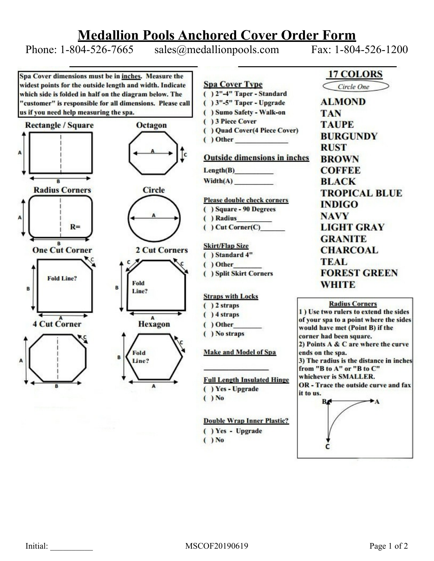## **Medallion Pools Anchored Cover Order Form**

Phone: 1-804-526-7665 sales@medallionpools.com Fax: 1-804-526-1200